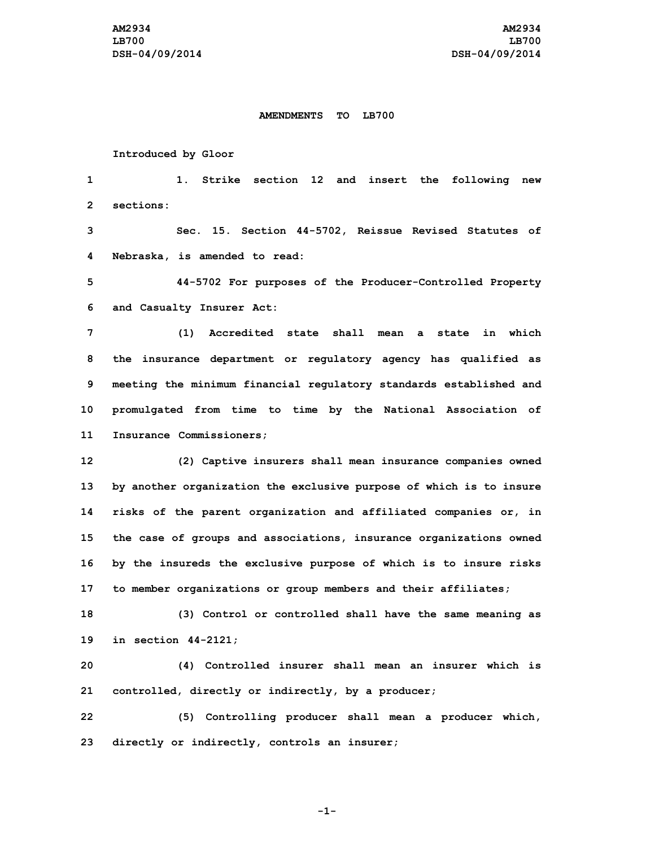## **AMENDMENTS TO LB700**

**Introduced by Gloor**

 **1. Strike section 12 and insert the following new sections: Sec. 15. Section 44-5702, Reissue Revised Statutes of Nebraska, is amended to read: 44-5702 For purposes of the Producer-Controlled Property and Casualty Insurer Act: (1) Accredited state shall mean <sup>a</sup> state in which the insurance department or regulatory agency has qualified as meeting the minimum financial regulatory standards established and promulgated from time to time by the National Association of Insurance Commissioners; (2) Captive insurers shall mean insurance companies owned by another organization the exclusive purpose of which is to insure risks of the parent organization and affiliated companies or, in the case of groups and associations, insurance organizations owned by the insureds the exclusive purpose of which is to insure risks to member organizations or group members and their affiliates; (3) Control or controlled shall have the same meaning as in section 44-2121; (4) Controlled insurer shall mean an insurer which is controlled, directly or indirectly, by <sup>a</sup> producer;**

**22 (5) Controlling producer shall mean <sup>a</sup> producer which, 23 directly or indirectly, controls an insurer;**

**-1-**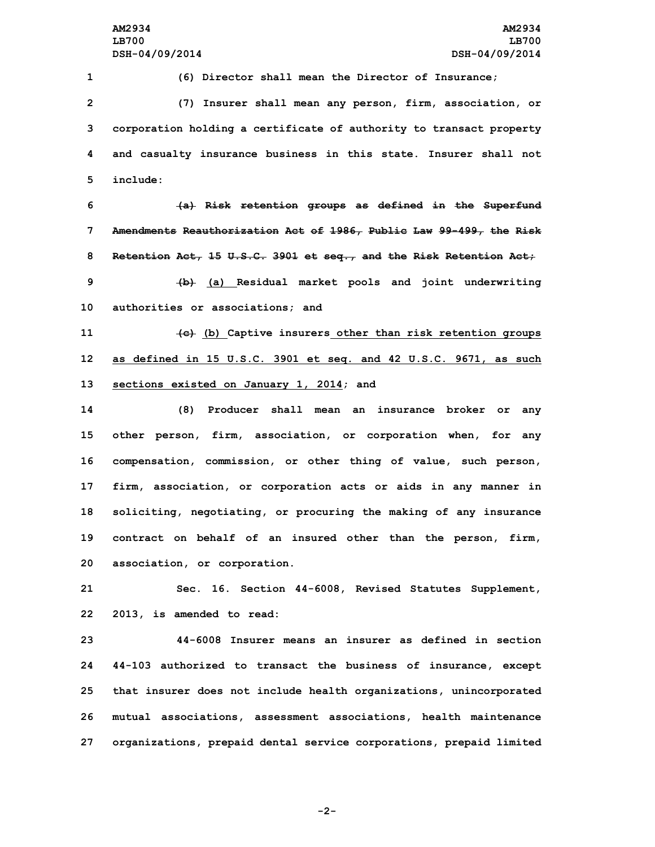**(6) Director shall mean the Director of Insurance; (7) Insurer shall mean any person, firm, association, or corporation holding <sup>a</sup> certificate of authority to transact property and casualty insurance business in this state. Insurer shall not 5 include:**

 **(a) Risk retention groups as defined in the Superfund Amendments Reauthorization Act of 1986, Public Law 99-499, the Risk Retention Act, 15 U.S.C. 3901 et seq., and the Risk Retention Act; (b) (a) Residual market pools and joint underwriting authorities or associations; and**

**11 (c) (b) Captive insurers other than risk retention groups 12 as defined in 15 U.S.C. 3901 et seq. and 42 U.S.C. 9671, as such 13 sections existed on January 1, 2014; and**

 **(8) Producer shall mean an insurance broker or any other person, firm, association, or corporation when, for any compensation, commission, or other thing of value, such person, firm, association, or corporation acts or aids in any manner in soliciting, negotiating, or procuring the making of any insurance contract on behalf of an insured other than the person, firm, association, or corporation.**

**21 Sec. 16. Section 44-6008, Revised Statutes Supplement, 22 2013, is amended to read:**

 **44-6008 Insurer means an insurer as defined in section 44-103 authorized to transact the business of insurance, except that insurer does not include health organizations, unincorporated mutual associations, assessment associations, health maintenance organizations, prepaid dental service corporations, prepaid limited**

**-2-**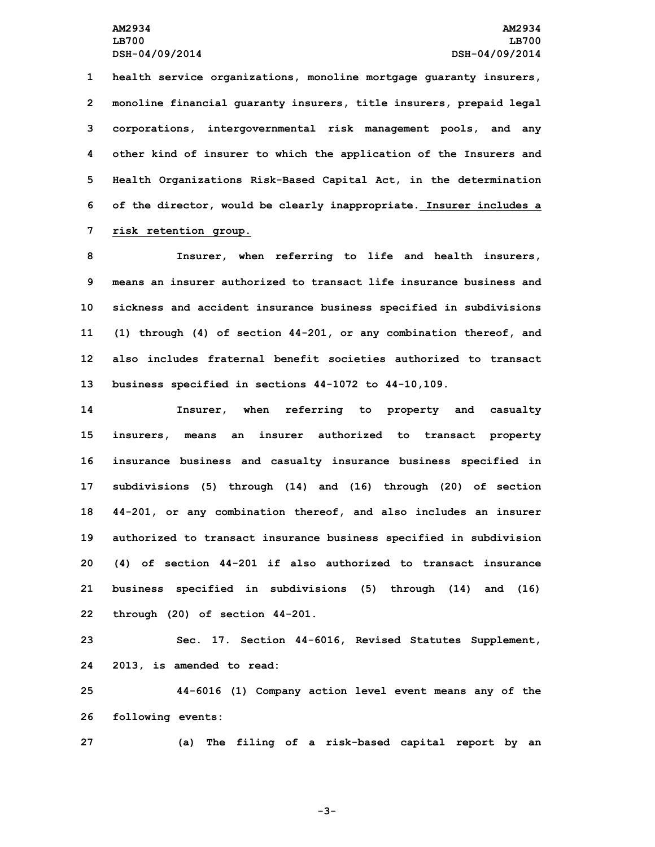**health service organizations, monoline mortgage guaranty insurers, monoline financial guaranty insurers, title insurers, prepaid legal corporations, intergovernmental risk management pools, and any other kind of insurer to which the application of the Insurers and Health Organizations Risk-Based Capital Act, in the determination of the director, would be clearly inappropriate. Insurer includes <sup>a</sup> risk retention group.**

 **Insurer, when referring to life and health insurers, means an insurer authorized to transact life insurance business and sickness and accident insurance business specified in subdivisions (1) through (4) of section 44-201, or any combination thereof, and also includes fraternal benefit societies authorized to transact business specified in sections 44-1072 to 44-10,109.**

 **Insurer, when referring to property and casualty insurers, means an insurer authorized to transact property insurance business and casualty insurance business specified in subdivisions (5) through (14) and (16) through (20) of section 44-201, or any combination thereof, and also includes an insurer authorized to transact insurance business specified in subdivision (4) of section 44-201 if also authorized to transact insurance business specified in subdivisions (5) through (14) and (16) through (20) of section 44-201.**

**23 Sec. 17. Section 44-6016, Revised Statutes Supplement, 24 2013, is amended to read:**

**25 44-6016 (1) Company action level event means any of the 26 following events:**

**27 (a) The filing of <sup>a</sup> risk-based capital report by an**

**-3-**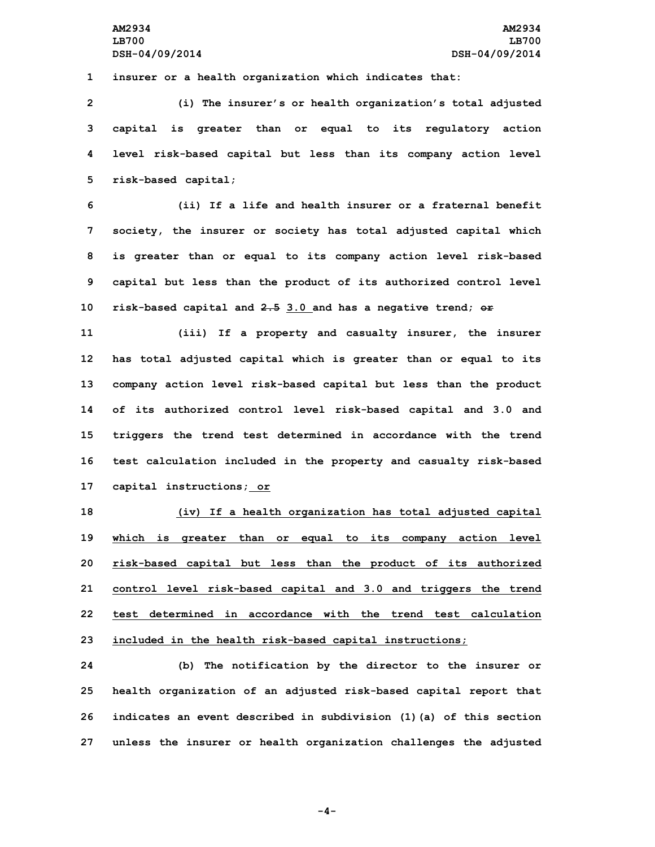**1 insurer or <sup>a</sup> health organization which indicates that:**

 **(i) The insurer's or health organization's total adjusted capital is greater than or equal to its regulatory action level risk-based capital but less than its company action level risk-based capital;**

 **(ii) If <sup>a</sup> life and health insurer or <sup>a</sup> fraternal benefit society, the insurer or society has total adjusted capital which is greater than or equal to its company action level risk-based capital but less than the product of its authorized control level risk-based capital and 2.5 3.0 and has <sup>a</sup> negative trend; or**

 **(iii) If <sup>a</sup> property and casualty insurer, the insurer has total adjusted capital which is greater than or equal to its company action level risk-based capital but less than the product of its authorized control level risk-based capital and 3.0 and triggers the trend test determined in accordance with the trend test calculation included in the property and casualty risk-based capital instructions; or**

 **(iv) If <sup>a</sup> health organization has total adjusted capital which is greater than or equal to its company action level risk-based capital but less than the product of its authorized control level risk-based capital and 3.0 and triggers the trend test determined in accordance with the trend test calculation included in the health risk-based capital instructions;**

 **(b) The notification by the director to the insurer or health organization of an adjusted risk-based capital report that indicates an event described in subdivision (1)(a) of this section unless the insurer or health organization challenges the adjusted**

**-4-**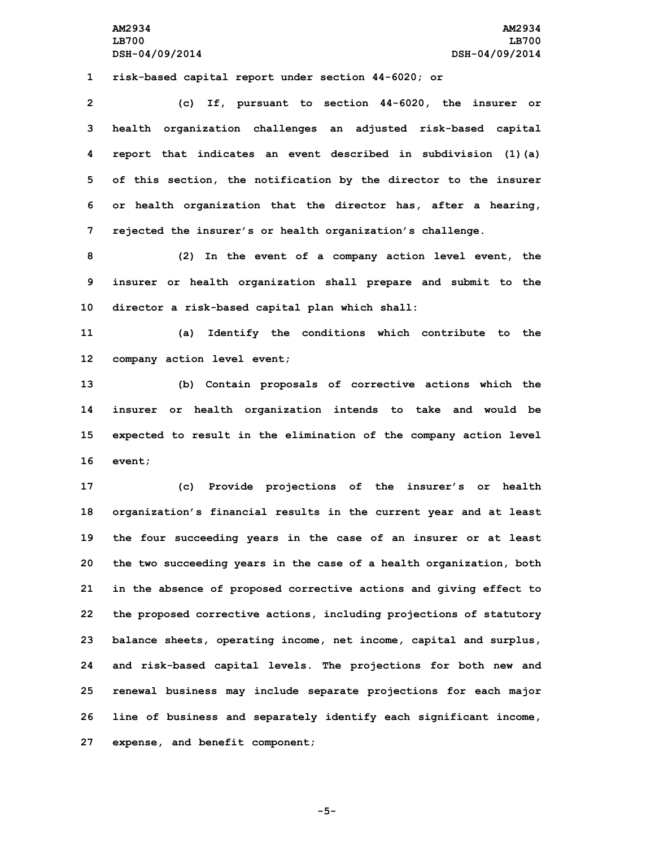**AM2934 AM2934 LB700 LB700 DSH-04/09/2014 DSH-04/09/2014**

**1 risk-based capital report under section 44-6020; or**

 **(c) If, pursuant to section 44-6020, the insurer or health organization challenges an adjusted risk-based capital report that indicates an event described in subdivision (1)(a) of this section, the notification by the director to the insurer or health organization that the director has, after <sup>a</sup> hearing, rejected the insurer's or health organization's challenge.**

**8 (2) In the event of <sup>a</sup> company action level event, the 9 insurer or health organization shall prepare and submit to the 10 director <sup>a</sup> risk-based capital plan which shall:**

**11 (a) Identify the conditions which contribute to the 12 company action level event;**

 **(b) Contain proposals of corrective actions which the insurer or health organization intends to take and would be expected to result in the elimination of the company action level 16 event;**

 **(c) Provide projections of the insurer's or health organization's financial results in the current year and at least the four succeeding years in the case of an insurer or at least the two succeeding years in the case of <sup>a</sup> health organization, both in the absence of proposed corrective actions and giving effect to the proposed corrective actions, including projections of statutory balance sheets, operating income, net income, capital and surplus, and risk-based capital levels. The projections for both new and renewal business may include separate projections for each major line of business and separately identify each significant income, expense, and benefit component;**

**-5-**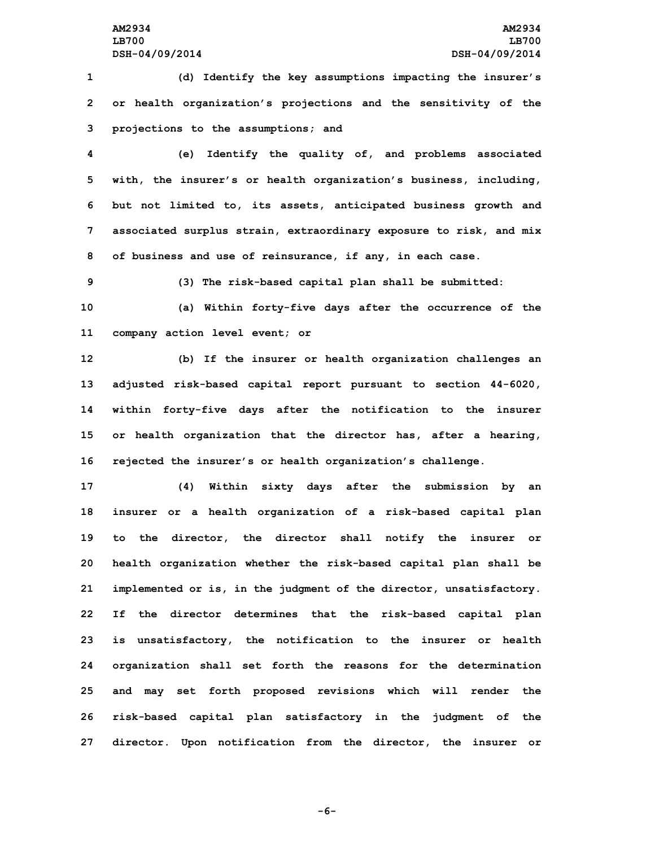**1 (d) Identify the key assumptions impacting the insurer's 2 or health organization's projections and the sensitivity of the 3 projections to the assumptions; and**

 **(e) Identify the quality of, and problems associated with, the insurer's or health organization's business, including, but not limited to, its assets, anticipated business growth and associated surplus strain, extraordinary exposure to risk, and mix of business and use of reinsurance, if any, in each case.**

**9 (3) The risk-based capital plan shall be submitted:**

**10 (a) Within forty-five days after the occurrence of the 11 company action level event; or**

 **(b) If the insurer or health organization challenges an adjusted risk-based capital report pursuant to section 44-6020, within forty-five days after the notification to the insurer or health organization that the director has, after <sup>a</sup> hearing, rejected the insurer's or health organization's challenge.**

 **(4) Within sixty days after the submission by an insurer or <sup>a</sup> health organization of <sup>a</sup> risk-based capital plan to the director, the director shall notify the insurer or health organization whether the risk-based capital plan shall be implemented or is, in the judgment of the director, unsatisfactory. If the director determines that the risk-based capital plan is unsatisfactory, the notification to the insurer or health organization shall set forth the reasons for the determination and may set forth proposed revisions which will render the risk-based capital plan satisfactory in the judgment of the director. Upon notification from the director, the insurer or**

**-6-**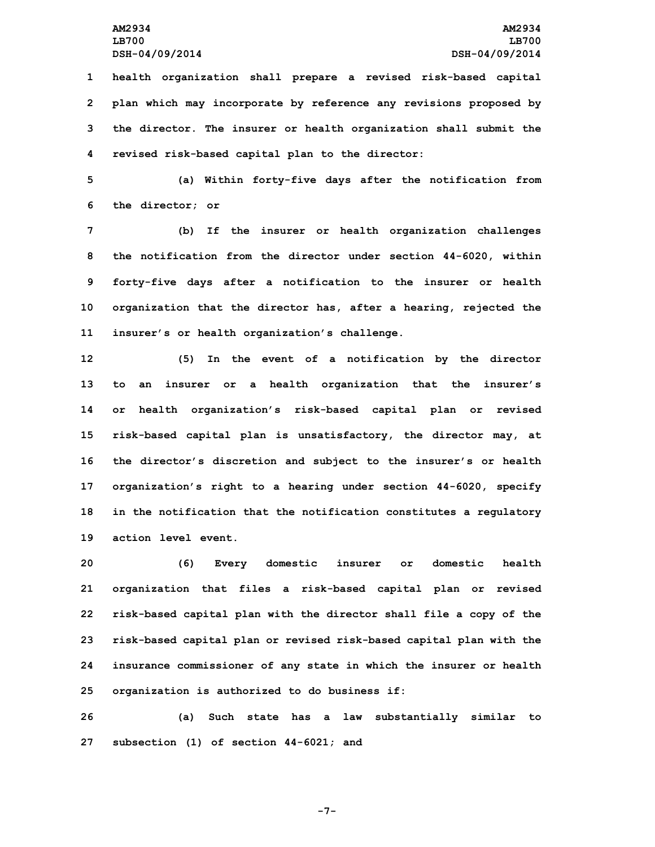**health organization shall prepare <sup>a</sup> revised risk-based capital plan which may incorporate by reference any revisions proposed by the director. The insurer or health organization shall submit the revised risk-based capital plan to the director:**

**5 (a) Within forty-five days after the notification from 6 the director; or**

 **(b) If the insurer or health organization challenges the notification from the director under section 44-6020, within forty-five days after <sup>a</sup> notification to the insurer or health organization that the director has, after <sup>a</sup> hearing, rejected the insurer's or health organization's challenge.**

 **(5) In the event of <sup>a</sup> notification by the director to an insurer or <sup>a</sup> health organization that the insurer's or health organization's risk-based capital plan or revised risk-based capital plan is unsatisfactory, the director may, at the director's discretion and subject to the insurer's or health organization's right to <sup>a</sup> hearing under section 44-6020, specify in the notification that the notification constitutes <sup>a</sup> regulatory action level event.**

 **(6) Every domestic insurer or domestic health organization that files <sup>a</sup> risk-based capital plan or revised risk-based capital plan with the director shall file <sup>a</sup> copy of the risk-based capital plan or revised risk-based capital plan with the insurance commissioner of any state in which the insurer or health organization is authorized to do business if:**

**26 (a) Such state has <sup>a</sup> law substantially similar to 27 subsection (1) of section 44-6021; and**

**-7-**